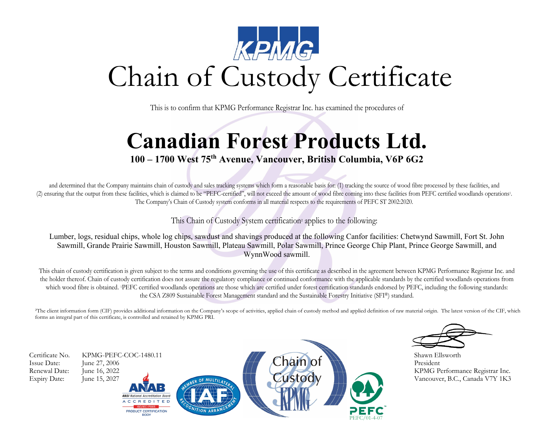

This is to confirm that KPMG Performance Registrar Inc. has examined the procedures of

## **Canadian Forest Products Ltd.**

## **100 – 1700 West 75th Avenue, Vancouver, British Columbia, V6P 6G2**

and determined that the Company maintains chain of custody and sales tracking systems which form a reasonable basis for: (1) tracking the source of wood fibre processed by these facilities, and (2) ensuring that the output from these facilities, which is claimed to be "PEFC-certified", will not exceed the amount of wood fibre coming into these facilities from PEFC certified woodlands operations1. The Company's Chain of Custody system conforms in all material respects to the requirements of PEFC ST 2002:2020.

This Chain of Custody System certification² applies to the following:

Lumber, logs, residual chips, whole log chips, sawdust and shavings produced at the following Canfor facilities: Chetwynd Sawmill, Fort St. John Sawmill, Grande Prairie Sawmill, Houston Sawmill, Plateau Sawmill, Polar Sawmill, Prince George Chip Plant, Prince George Sawmill, and WynnWood sawmill.

This chain of custody certification is given subject to the terms and conditions governing the use of this certificate as described in the agreement between KPMG Performance Registrar Inc. and the holder thereof. Chain of custody certification does not assure the regulatory compliance or continued conformance with the applicable standards by the certified woodlands operations from which wood fibre is obtained. IPEFC certified woodlands operations are those which are certified under forest certification standards endorsed by PEFC, including the following standards: the CSA Z809 Sustainable Forest Management standard and the Sustainable Forestry Initiative (SFI®) standard.

<sup>2</sup>The client information form (CIF) provides additional information on the Company's scope of activities, applied chain of custody method and applied definition of raw material origin. The latest version of the CIF, which forms an integral part of this certificate, is controlled and retained by KPMG PRI.

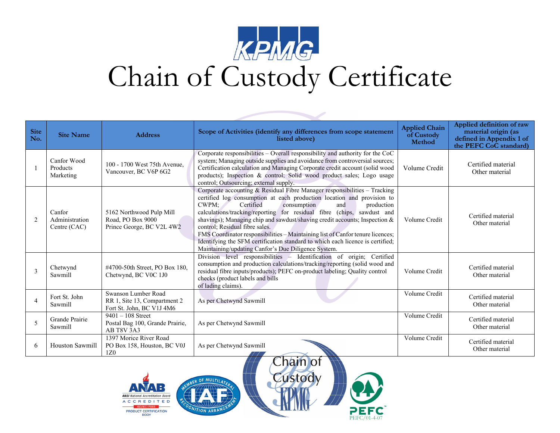

## Chain of Custody Certificate

| <b>Site</b><br>No. | <b>Site Name</b>                         | <b>Address</b>                                                                   | Scope of Activities (identify any differences from scope statement<br>listed above)                                                                                                                                                                                                                                                                                                                                                                                                                                                                                                                                                | <b>Applied Chain</b><br>of Custody<br><b>Method</b> | Applied definition of raw<br>material origin (as<br>defined in Appendix 1 of<br>the PEFC CoC standard) |
|--------------------|------------------------------------------|----------------------------------------------------------------------------------|------------------------------------------------------------------------------------------------------------------------------------------------------------------------------------------------------------------------------------------------------------------------------------------------------------------------------------------------------------------------------------------------------------------------------------------------------------------------------------------------------------------------------------------------------------------------------------------------------------------------------------|-----------------------------------------------------|--------------------------------------------------------------------------------------------------------|
|                    | Canfor Wood<br>Products<br>Marketing     | 100 - 1700 West 75th Avenue,<br>Vancouver, BC V6P 6G2                            | Corporate responsibilities - Overall responsibility and authority for the CoC<br>system; Managing outside supplies and avoidance from controversial sources;<br>Certification calculation and Managing Corporate credit account (solid wood<br>products); Inspection & control; Solid wood product sales; Logo usage<br>control; Outsourcing; external supply.                                                                                                                                                                                                                                                                     | Volume Credit                                       | Certified material<br>Other material                                                                   |
| 2                  | Canfor<br>Administration<br>Centre (CAC) | 5162 Northwood Pulp Mill<br>Road, PO Box 9000<br>Prince George, BC V2L 4W2       | Corporate accounting & Residual Fibre Manager responsibilities - Tracking<br>certified log consumption at each production location and provision to<br>CWPM;<br>Certified<br>and<br>production<br>consumption<br>calculations/tracking/reporting for residual fibre (chips, sawdust and<br>shavings); Managing chip and sawdust/shaving credit accounts; Inspection &<br>control: Residual fibre sales.<br>FMS Coordinator responsibilities - Maintaining list of Canfor tenure licences;<br>Identifying the SFM certification standard to which each licence is certified;<br>Maintaining/updating Canfor's Due Diligence System. | Volume Credit                                       | Certified material<br>Other material                                                                   |
| 3                  | Chetwynd<br>Sawmill                      | #4700-50th Street, PO Box 180,<br>Chetwynd, BC V0C 1J0                           | Division level responsibilities - Identification of origin; Certified<br>consumption and production calculations/tracking/reporting (solid wood and<br>residual fibre inputs/products); PEFC on-product labeling; Quality control<br>checks (product labels and bills<br>of lading claims).                                                                                                                                                                                                                                                                                                                                        | Volume Credit                                       | Certified material<br>Other material                                                                   |
| $\overline{4}$     | Fort St. John<br>Sawmill                 | Swanson Lumber Road<br>RR 1, Site 13, Compartment 2<br>Fort St. John, BC V1J 4M6 | As per Chetwynd Sawmill                                                                                                                                                                                                                                                                                                                                                                                                                                                                                                                                                                                                            | Volume Credit                                       | Certified material<br>Other material                                                                   |
| 5                  | Grande Prairie<br>Sawmill                | $9401 - 108$ Street<br>Postal Bag 100, Grande Prairie,<br>AB T8V 3A3             | As per Chetwynd Sawmill                                                                                                                                                                                                                                                                                                                                                                                                                                                                                                                                                                                                            | Volume Credit                                       | Certified material<br>Other material                                                                   |
| 6                  | <b>Houston Sawmill</b>                   | 1397 Morice River Road<br>PO Box 158, Houston, BC V0J<br>1Z <sub>0</sub>         | As per Chetwynd Sawmill                                                                                                                                                                                                                                                                                                                                                                                                                                                                                                                                                                                                            | Volume Credit                                       | Certified material<br>Other material                                                                   |



MULTILAT

**ION APR**